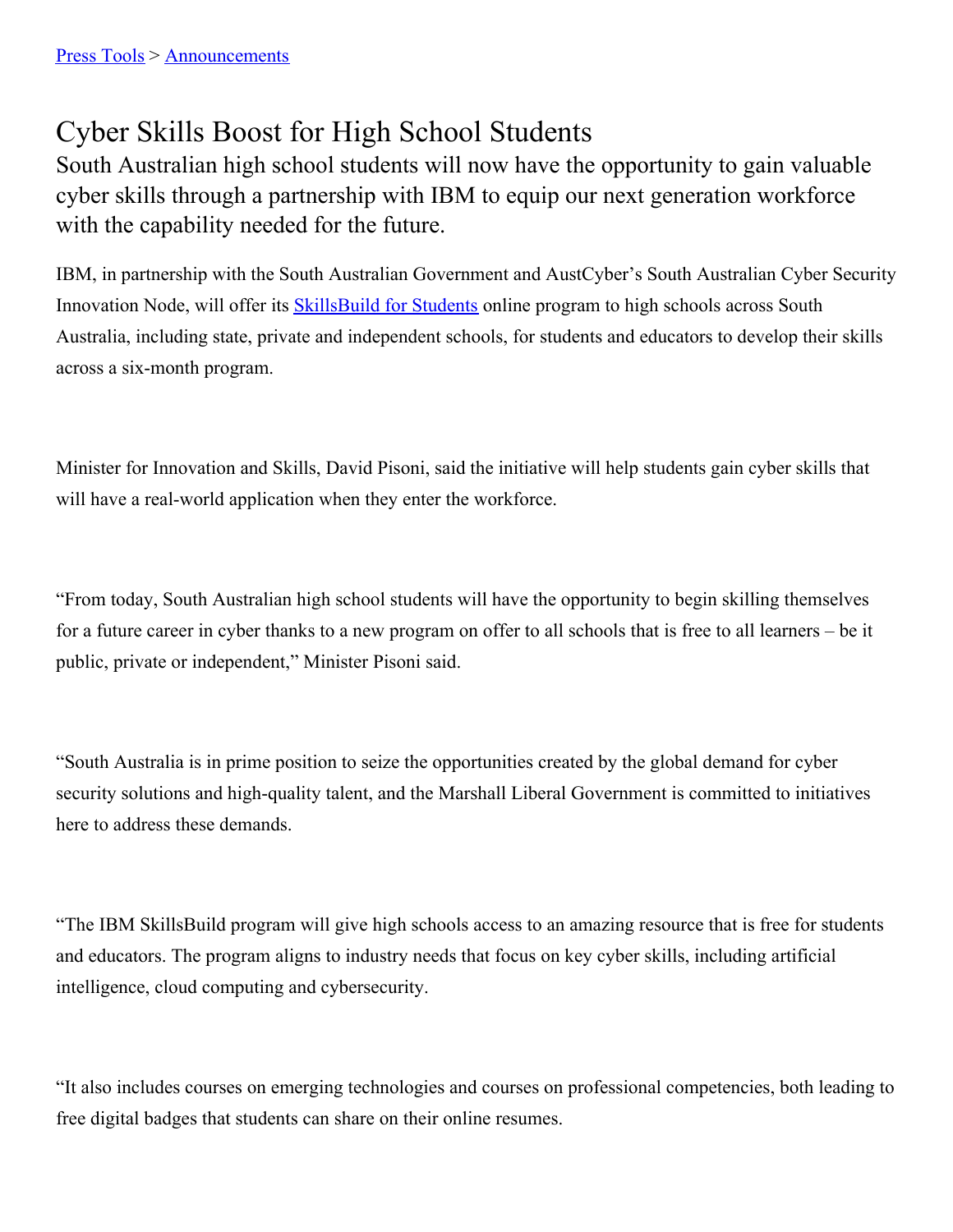## Cyber Skills Boost for High School Students

South Australian high school students will now have the opportunity to gain valuable cyber skills through a partnership with IBM to equip our next generation workforce with the capability needed for the future.

IBM, in partnership with the South Australian Government and AustCyber's South Australian Cyber Security Innovation Node, will offer its **[SkillsBuild](https://skillsbuild.org/students)** for Students online program to high schools across South Australia, including state, private and independent schools, for students and educators to develop their skills across a six-month program.

Minister for Innovation and Skills, David Pisoni, said the initiative will help students gain cyber skills that will have a real-world application when they enter the workforce.

"From today, South Australian high school students will have the opportunity to begin skilling themselves for a future career in cyber thanks to a new program on offer to all schools that is free to all learners – be it public, private or independent," Minister Pisoni said.

"South Australia is in prime position to seize the opportunities created by the global demand for cyber security solutions and high-quality talent, and the Marshall Liberal Government is committed to initiatives here to address these demands.

"The IBM SkillsBuild program will give high schools access to an amazing resource that is free for students and educators. The program aligns to industry needs that focus on key cyber skills, including artificial intelligence, cloud computing and cybersecurity.

"It also includes courses on emerging technologies and courses on professional competencies, both leading to free digital badges that students can share on their online resumes.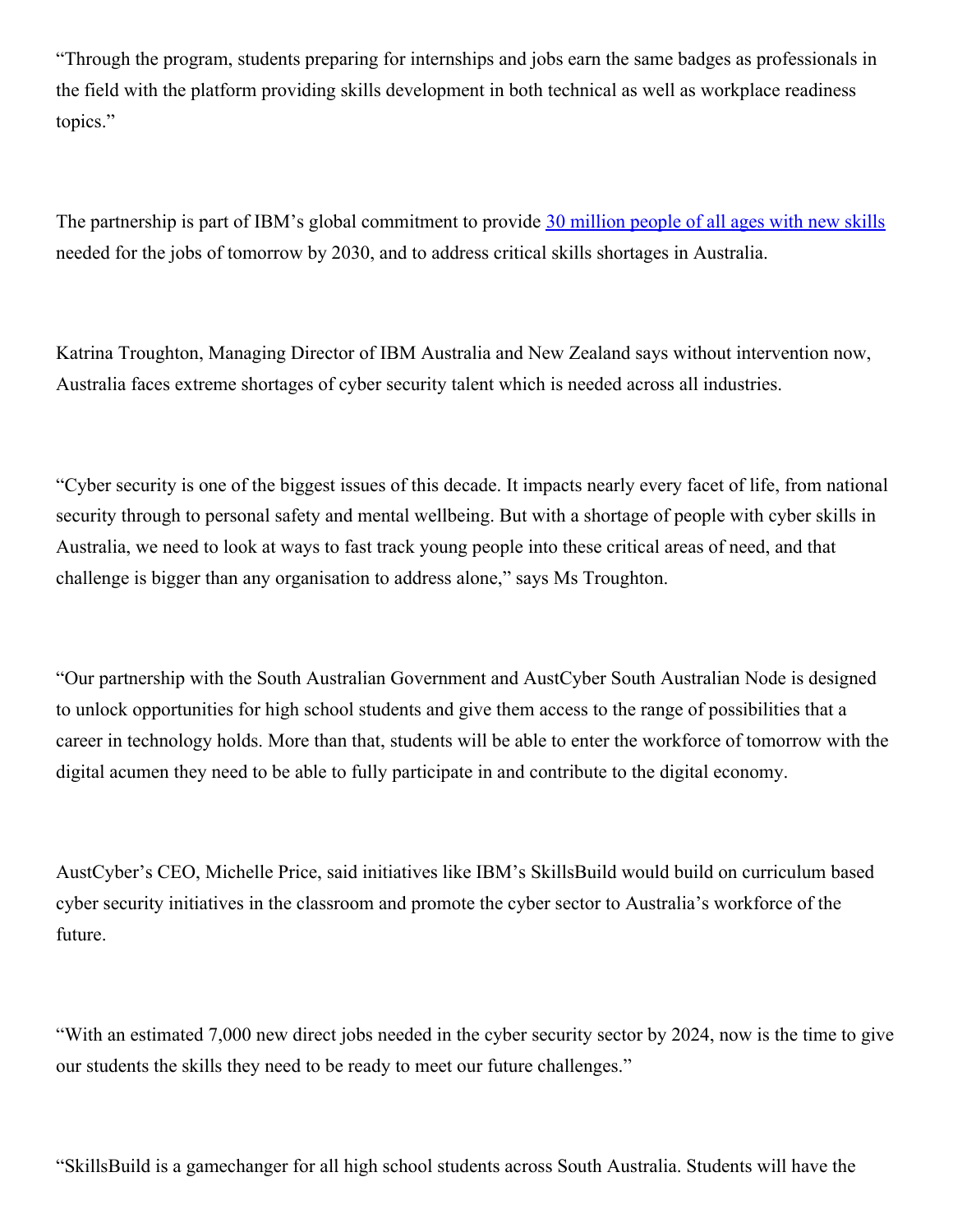"Through the program, students preparing for internships and jobs earn the same badges as professionals in the field with the platform providing skills development in both technical as well as workplace readiness topics."

The partnership is part of IBM's global commitment to provide 30 [million](https://au.newsroom.ibm.com/2021-10-13-IBM-Commits-to-Skill-30-Million-People-Globally-by-2030-AUS) people of all ages with new skills needed for the jobs of tomorrow by 2030, and to address critical skills shortages in Australia.

Katrina Troughton, Managing Director of IBM Australia and New Zealand says without intervention now, Australia faces extreme shortages of cyber security talent which is needed across all industries.

"Cyber security is one of the biggest issues of this decade. It impacts nearly every facet of life, from national security through to personal safety and mental wellbeing. But with a shortage of people with cyber skills in Australia, we need to look at ways to fast track young people into these critical areas of need, and that challenge is bigger than any organisation to address alone," says Ms Troughton.

"Our partnership with the South Australian Government and AustCyber South Australian Node is designed to unlock opportunities for high school students and give them access to the range of possibilities that a career in technology holds. More than that, students will be able to enter the workforce of tomorrow with the digital acumen they need to be able to fully participate in and contribute to the digital economy.

AustCyber's CEO, Michelle Price, said initiatives like IBM's SkillsBuild would build on curriculum based cyber security initiatives in the classroom and promote the cyber sector to Australia's workforce of the future.

"With an estimated 7,000 new direct jobs needed in the cyber security sector by 2024, now is the time to give our students the skills they need to be ready to meet our future challenges."

"SkillsBuild is a gamechanger for all high school students across South Australia. Students will have the